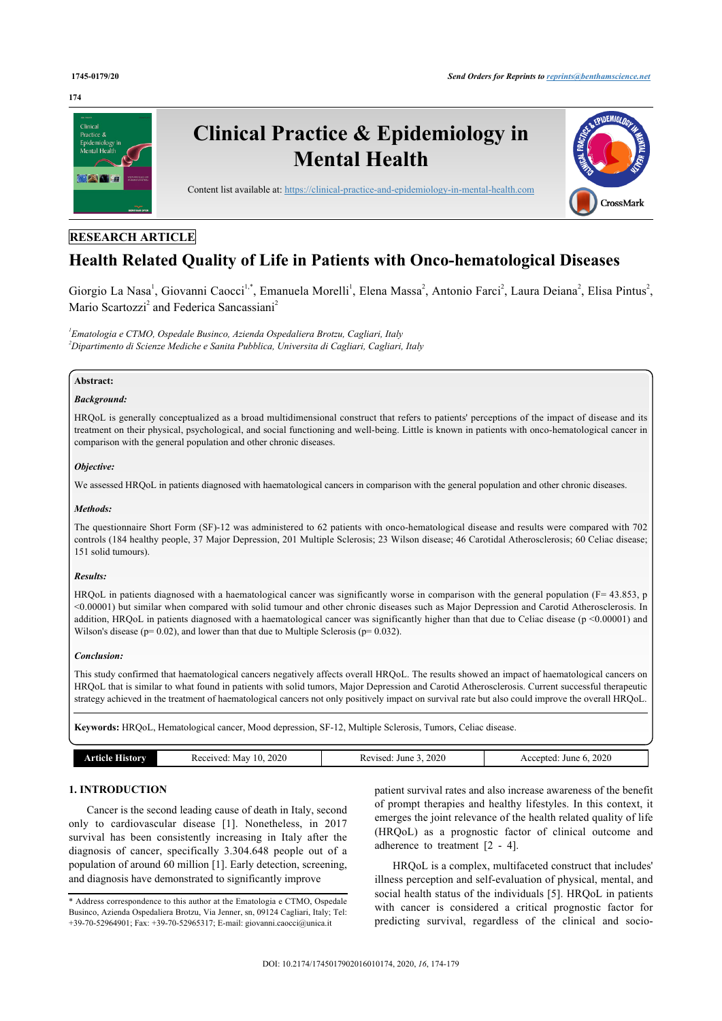#### **174**



# **RESEARCH ARTICLE**

# **Health Related Quality of Life in Patients with Onco-hematological Diseases**

Giorgio La Nasa<sup>[1](#page-0-0)</sup>, Giovanni Caocci<sup>[1,](#page-0-0)[\\*](#page-0-1)</sup>, Emanuela Morelli<sup>1</sup>, Elena Massa<sup>[2](#page-0-2)</sup>, Antonio Farci<sup>2</sup>, Laura Deiana<sup>2</sup>, Elisa Pintus<sup>2</sup>, Mario Scartozzi<sup>[2](#page-0-2)</sup> and Federica Sancassiani<sup>2</sup>

<span id="page-0-2"></span><span id="page-0-0"></span>*1 Ematologia e CTMO, Ospedale Businco, Azienda Ospedaliera Brotzu, Cagliari, Italy <sup>2</sup>Dipartimento di Scienze Mediche e Sanita Pubblica, Universita di Cagliari, Cagliari, Italy*

## **Abstract:**

## *Background:*

HRQoL is generally conceptualized as a broad multidimensional construct that refers to patients' perceptions of the impact of disease and its treatment on their physical, psychological, and social functioning and well-being. Little is known in patients with onco-hematological cancer in comparison with the general population and other chronic diseases.

## *Objective:*

We assessed HRQoL in patients diagnosed with haematological cancers in comparison with the general population and other chronic diseases.

#### *Methods:*

The questionnaire Short Form (SF)-12 was administered to 62 patients with onco-hematological disease and results were compared with 702 controls (184 healthy people, 37 Major Depression, 201 Multiple Sclerosis; 23 Wilson disease; 46 Carotidal Atherosclerosis; 60 Celiac disease; 151 solid tumours).

#### *Results:*

HRQoL in patients diagnosed with a haematological cancer was significantly worse in comparison with the general population (F= 43.853, p <0.00001) but similar when compared with solid tumour and other chronic diseases such as Major Depression and Carotid Atherosclerosis. In addition, HRQoL in patients diagnosed with a haematological cancer was significantly higher than that due to Celiac disease (p <0.00001) and Wilson's disease ( $p= 0.02$ ), and lower than that due to Multiple Sclerosis ( $p= 0.032$ ).

#### *Conclusion:*

This study confirmed that haematological cancers negatively affects overall HRQoL. The results showed an impact of haematological cancers on HRQoL that is similar to what found in patients with solid tumors, Major Depression and Carotid Atherosclerosis. Current successful therapeutic strategy achieved in the treatment of haematological cancers not only positively impact on survival rate but also could improve the overall HRQoL.

**Keywords:** HRQoL, Hematological cancer, Mood depression, SF-12, Multiple Sclerosis, Tumors, Celiac disease.

| $\sim$ $\sim$ $\sim$<br>$A\Omega$ |                        |                       |                      |
|-----------------------------------|------------------------|-----------------------|----------------------|
|                                   | 2020<br>May<br>eceived | 2020<br>June<br>/ised | 2020<br>June<br>pted |

# **1. INTRODUCTION**

Cancer is the second leading cause of death in Italy, second only to cardiovascular disease [\[1](#page-4-0)]. Nonetheless, in 2017 survival has been consistently increasing in Italy after the diagnosis of cancer, specifically 3.304.648 people out of a population of around 60 million [[1](#page-4-0)]. Early detection, screening, and diagnosis have demonstrated to significantly improve

patient survival rates and also increase awareness of the benefit of prompt therapies and healthy lifestyles. In this context, it emerges the joint relevance of the health related quality of life (HRQoL) as a prognostic factor of clinical outcome and adherence to treatment [\[2](#page-4-1) - [4\]](#page-4-2).

HRQoL is a complex, multifaceted construct that includes' illness perception and self-evaluation of physical, mental, and social health status of the individuals [[5](#page-4-3)]. HRQoL in patients with cancer is considered a critical prognostic factor for predicting survival, regardless of the clinical and socio-

<span id="page-0-1"></span><sup>\*</sup> Address correspondence to this author at the Ematologia e CTMO, Ospedale Businco, Azienda Ospedaliera Brotzu, Via Jenner, sn, 09124 Cagliari, Italy; Tel: +39-70-52964901; Fax: +39-70-52965317; E-mail: [giovanni.caocci@unica.it](mailto:giovanni.caocci@unica.it)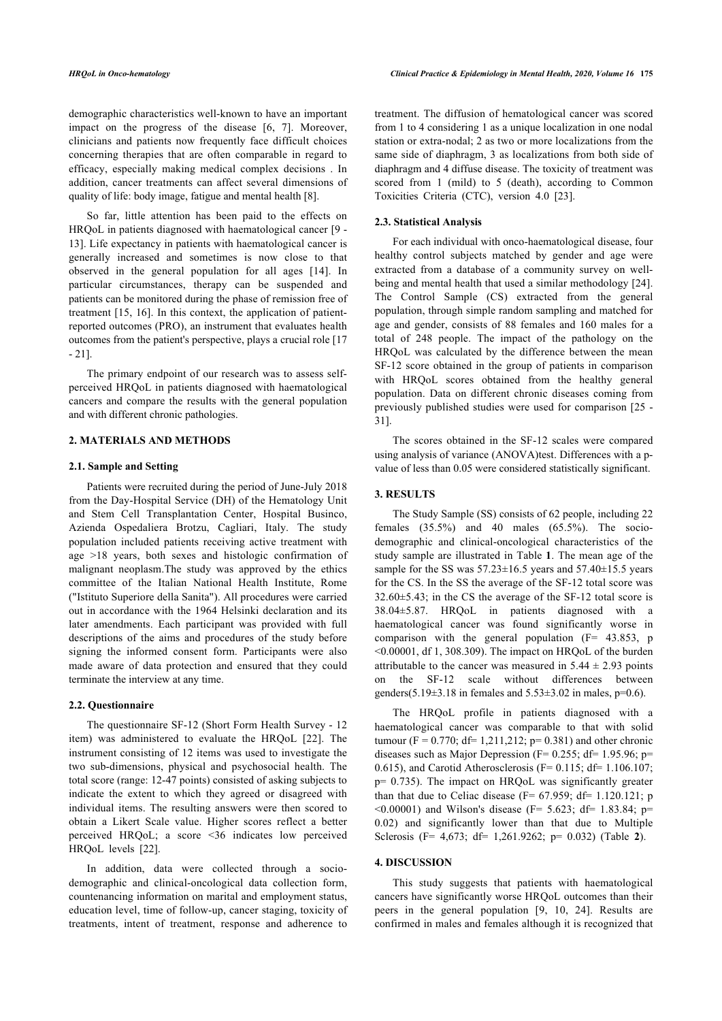demographic characteristics well-known to have an important impact on the progress of the disease[[6,](#page-4-4) [7\]](#page-4-5). Moreover, clinicians and patients now frequently face difficult choices concerning therapies that are often comparable in regard to efficacy, especially making medical complex decisions . In addition, cancer treatments can affect several dimensions of quality of life: body image, fatigue and mental health [[8](#page-4-6)].

So far, little attention has been paid to the effects on HRQoL in patients diagnosed with haematological cancer [\[9](#page-4-7) - [13\]](#page-4-8). Life expectancy in patients with haematological cancer is generally increased and sometimes is now close to that observed in the general population for all ages[[14\]](#page-4-9). In particular circumstances, therapy can be suspended and patients can be monitored during the phase of remission free of treatment [[15,](#page-4-10) [16](#page-4-11)]. In this context, the application of patientreported outcomes (PRO), an instrument that evaluates health outcomes from the patient's perspective, plays a crucial role [\[17](#page-4-12) - [21\]](#page-4-13).

The primary endpoint of our research was to assess selfperceived HRQoL in patients diagnosed with haematological cancers and compare the results with the general population and with different chronic pathologies.

#### **2. MATERIALS AND METHODS**

#### **2.1. Sample and Setting**

Patients were recruited during the period of June-July 2018 from the Day-Hospital Service (DH) of the Hematology Unit and Stem Cell Transplantation Center, Hospital Businco, Azienda Ospedaliera Brotzu, Cagliari, Italy. The study population included patients receiving active treatment with age >18 years, both sexes and histologic confirmation of malignant neoplasm.The study was approved by the ethics committee of the Italian National Health Institute, Rome ("Istituto Superiore della Sanita"). All procedures were carried out in accordance with the 1964 Helsinki declaration and its later amendments. Each participant was provided with full descriptions of the aims and procedures of the study before signing the informed consent form. Participants were also made aware of data protection and ensured that they could terminate the interview at any time.

#### **2.2. Questionnaire**

The questionnaire SF-12 (Short Form Health Survey - 12 item) was administered to evaluate the HRQoL[[22\]](#page-4-14). The instrument consisting of 12 items was used to investigate the two sub-dimensions, physical and psychosocial health. The total score (range: 12-47 points) consisted of asking subjects to indicate the extent to which they agreed or disagreed with individual items. The resulting answers were then scored to obtain a Likert Scale value. Higher scores reflect a better perceived HRQoL; a score <36 indicates low perceived HRQoL levels [\[22](#page-4-14)].

In addition, data were collected through a sociodemographic and clinical-oncological data collection form, countenancing information on marital and employment status, education level, time of follow-up, cancer staging, toxicity of treatments, intent of treatment, response and adherence to treatment. The diffusion of hematological cancer was scored from 1 to 4 considering 1 as a unique localization in one nodal station or extra-nodal; 2 as two or more localizations from the same side of diaphragm, 3 as localizations from both side of diaphragm and 4 diffuse disease. The toxicity of treatment was scored from 1 (mild) to 5 (death), according to Common Toxicities Criteria (CTC), version 4.0 [\[23](#page-4-15)].

# **2.3. Statistical Analysis**

For each individual with onco-haematological disease, four healthy control subjects matched by gender and age were extracted from a database of a community survey on wellbeing and mental health that used a similar methodology [\[24](#page-4-16)]. The Control Sample (CS) extracted from the general population, through simple random sampling and matched for age and gender, consists of 88 females and 160 males for a total of 248 people. The impact of the pathology on the HRQoL was calculated by the difference between the mean SF-12 score obtained in the group of patients in comparison with HRQoL scores obtained from the healthy general population. Data on different chronic diseases coming from previously published studies were used for comparison [\[25](#page-4-17) - [31\]](#page-5-0).

The scores obtained in the SF-12 scales were compared using analysis of variance (ANOVA)test. Differences with a pvalue of less than 0.05 were considered statistically significant.

# **3. RESULTS**

The Study Sample (SS) consists of 62 people, including 22 females  $(35.5\%)$  and 40 males  $(65.5\%)$ . The sociodemographic and clinical-oncological characteristics of the study sample are illustrated in Table **[1](#page-2-0)**. The mean age of the sample for the SS was  $57.23 \pm 16.5$  years and  $57.40 \pm 15.5$  years for the CS. In the SS the average of the SF-12 total score was 32.60±5.43; in the CS the average of the SF-12 total score is 38.04±5.87. HRQoL in patients diagnosed with a haematological cancer was found significantly worse in comparison with the general population  $(F= 43.853, p)$ <0.00001, df 1, 308.309). The impact on HRQoL of the burden attributable to the cancer was measured in  $5.44 \pm 2.93$  points on the SF-12 scale without differences between genders( $5.19\pm3.18$  in females and  $5.53\pm3.02$  in males,  $p=0.6$ ).

The HRQoL profile in patients diagnosed with a haematological cancer was comparable to that with solid tumour (F = 0.770; df = 1,211,212; p= 0.381) and other chronic diseases such as Major Depression (F= 0.255; df= 1.95.96; p= 0.615), and Carotid Atherosclerosis ( $F= 0.115$ ; d $f= 1.106.107$ ; p= 0.735). The impact on HRQoL was significantly greater than that due to Celiac disease ( $F = 67.959$ ; d $f = 1.120.121$ ; p  $\leq 0.00001$ ) and Wilson's disease (F= 5.623; df= 1.83.84; p= 0.02) and significantly lower than that due to Multiple Sclerosis (F= 4,673; df= 1,261.9262; p= 0.032) (Table**2**).

#### **4. DISCUSSION**

This study suggests that patients with haematological cancers have significantly worse HRQoL outcomes than their peers in the general population[[9](#page-4-7), [10](#page-4-18), [24\]](#page-4-16). Results are confirmed in males and females although it is recognized that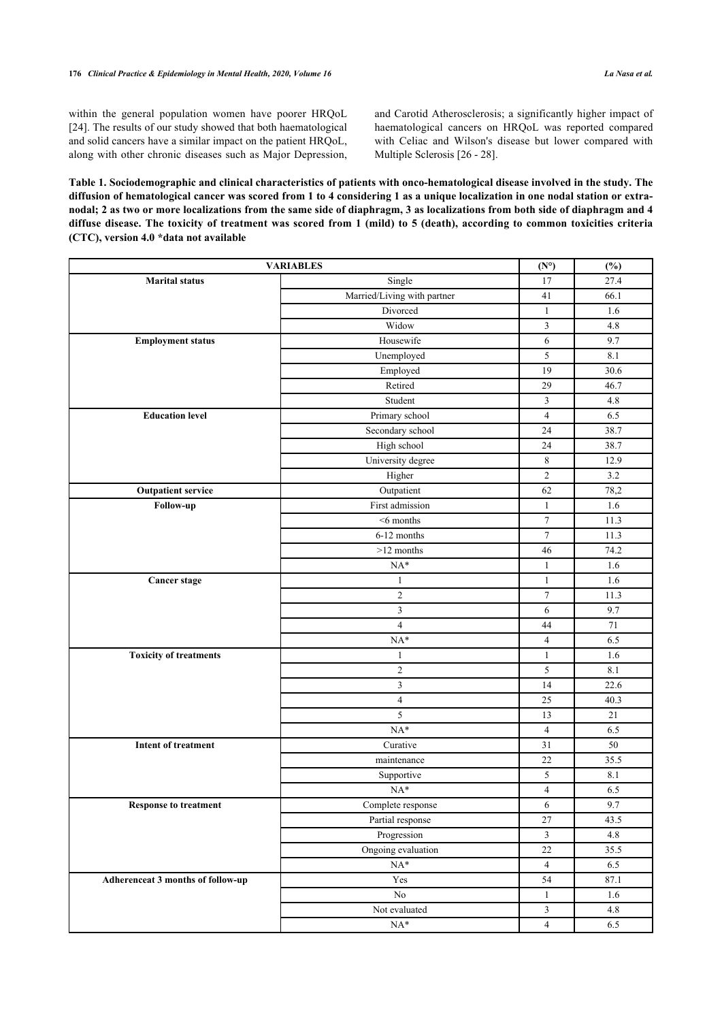within the general population women have poorer HRQoL [[24\]](#page-4-16). The results of our study showed that both haematological and solid cancers have a similar impact on the patient HRQoL, along with other chronic diseases such as Major Depression, and Carotid Atherosclerosis; a significantly higher impact of haematological cancers on HRQoL was reported compared with Celiac and Wilson's disease but lower compared with Multiple Sclerosis [[26](#page-4-19) - [28](#page-5-1)].

<span id="page-2-0"></span>**Table 1. Sociodemographic and clinical characteristics of patients with onco-hematological disease involved in the study. The diffusion of hematological cancer was scored from 1 to 4 considering 1 as a unique localization in one nodal station or extranodal; 2 as two or more localizations from the same side of diaphragm, 3 as localizations from both side of diaphragm and 4 diffuse disease. The toxicity of treatment was scored from 1 (mild) to 5 (death), according to common toxicities criteria (CTC), version 4.0 \*data not available**

| <b>VARIABLES</b>                  |                             |                  | $(\%)$  |
|-----------------------------------|-----------------------------|------------------|---------|
| <b>Marital status</b>             | Single                      | 17               | 27.4    |
|                                   | Married/Living with partner | 41               | 66.1    |
|                                   | Divorced                    | $\mathbf{1}$     | 1.6     |
|                                   | Widow                       | 3                | 4.8     |
| <b>Employment status</b>          | Housewife                   | $\sqrt{6}$       | 9.7     |
|                                   | Unemployed                  | 5                | 8.1     |
|                                   | Employed                    | 19               | 30.6    |
|                                   | Retired                     | 29               | 46.7    |
|                                   | Student                     | 3                | 4.8     |
| <b>Education level</b>            | Primary school              | $\overline{4}$   | 6.5     |
|                                   | Secondary school            | 24               | 38.7    |
|                                   | High school                 | 24               | 38.7    |
|                                   | University degree           | 8                | 12.9    |
|                                   | Higher                      | $\overline{c}$   | 3.2     |
| <b>Outpatient service</b>         | Outpatient                  | 62               | 78,2    |
| Follow-up                         | First admission             | $\mathbf{1}$     | 1.6     |
|                                   | $<$ 6 months                | $\tau$           | 11.3    |
|                                   | 6-12 months                 | $\tau$           | 11.3    |
|                                   | $>12$ months                | 46               | 74.2    |
|                                   | $NA*$                       | $\mathbf{1}$     | 1.6     |
| <b>Cancer stage</b>               | $\mathbf{1}$                | $\mathbf{1}$     | 1.6     |
|                                   | $\sqrt{2}$                  | $\boldsymbol{7}$ | 11.3    |
|                                   | $\mathfrak{Z}$              | 6                | 9.7     |
|                                   | $\overline{\mathbf{4}}$     | 44               | 71      |
|                                   | $NA*$                       | $\overline{4}$   | 6.5     |
| <b>Toxicity of treatments</b>     | $\mathbf{1}$                | $\mathbf{1}$     | 1.6     |
|                                   | $\mathbf{2}$                | 5                | $8.1\,$ |
|                                   | $\mathfrak{Z}$              | 14               | 22.6    |
|                                   | $\overline{4}$              | 25               | 40.3    |
|                                   | 5                           | 13               | 21      |
|                                   | $NA*$                       | $\overline{4}$   | 6.5     |
| <b>Intent of treatment</b>        | Curative                    | 31               | 50      |
|                                   | maintenance                 | 22               | 35.5    |
|                                   | Supportive                  | 5                | 8.1     |
|                                   | $NA*$                       | $\overline{4}$   | 6.5     |
| Response to treatment             | Complete response           | $\sqrt{6}$       | 9.7     |
|                                   | Partial response            | 27               | 43.5    |
|                                   | Progression                 | $\mathfrak{Z}$   | $4.8\,$ |
|                                   | Ongoing evaluation          | $22\,$           | 35.5    |
|                                   | $\mathrm{NA}^*$             | $\overline{4}$   | 6.5     |
| Adherenceat 3 months of follow-up | Yes                         | 54               | 87.1    |
|                                   | No                          | $\mathbf{1}$     | 1.6     |
|                                   | Not evaluated               | $\mathfrak{Z}$   | 4.8     |
|                                   | $\mathrm{NA}^*$             | $\overline{4}$   | 6.5     |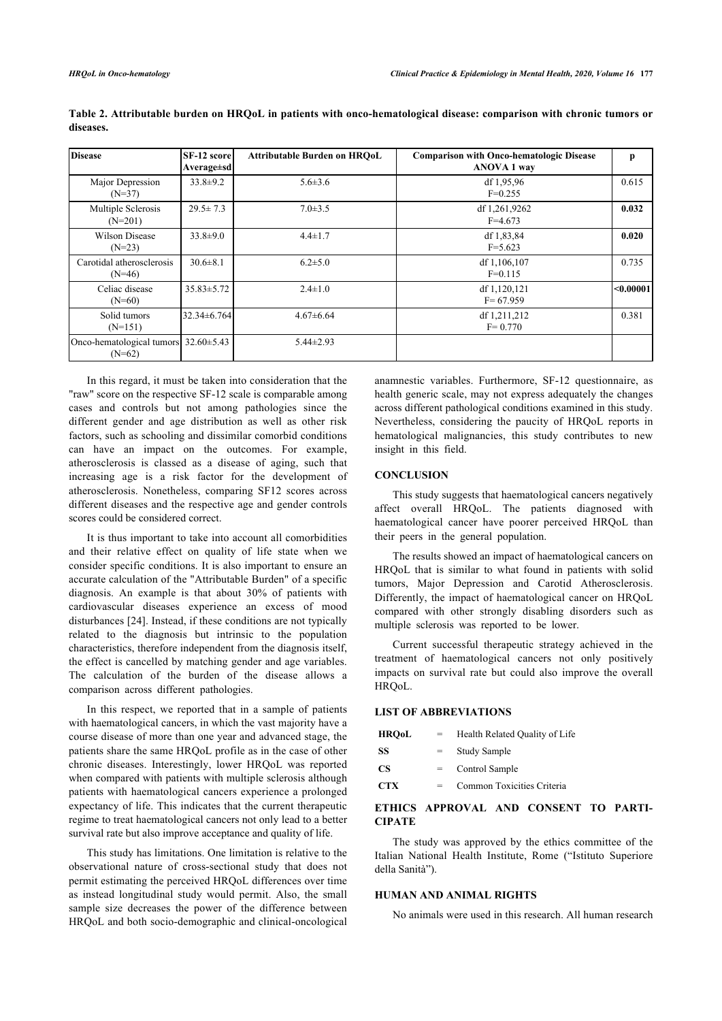| <b>Disease</b>                                         | <b>SF-12 score</b><br>Average±sd | <b>Attributable Burden on HROoL</b> | <b>Comparison with Onco-hematologic Disease</b><br><b>ANOVA 1 way</b> | р         |
|--------------------------------------------------------|----------------------------------|-------------------------------------|-----------------------------------------------------------------------|-----------|
| Major Depression<br>$(N=37)$                           | $33.8 \pm 9.2$                   | $5.6 \pm 3.6$                       | df $1,95,96$<br>$F=0.255$                                             | 0.615     |
| Multiple Sclerosis<br>$(N=201)$                        | $29.5 \pm 7.3$                   | $7.0 \pm 3.5$                       | df 1,261,9262<br>$F=4.673$                                            | 0.032     |
| Wilson Disease<br>$(N=23)$                             | $33.8 \pm 9.0$                   | $4.4 \pm 1.7$                       | df $1,83,84$<br>$F = 5.623$                                           | 0.020     |
| Carotidal atherosclerosis<br>$(N=46)$                  | $30.6 \pm 8.1$                   | $6.2 \pm 5.0$                       | df 1,106,107<br>$F=0.115$                                             | 0.735     |
| Celiac disease<br>$(N=60)$                             | $35.83 \pm 5.72$                 | $2.4 \pm 1.0$                       | df 1,120,121<br>$F = 67.959$                                          | < 0.00001 |
| Solid tumors<br>$(N=151)$                              | 32.34±6.764                      | $4.67\pm6.64$                       | df 1,211,212<br>$F = 0.770$                                           | 0.381     |
| Onco-hematological tumors $32.60 \pm 5.43$<br>$(N=62)$ |                                  | $5.44 \pm 2.93$                     |                                                                       |           |

<span id="page-3-0"></span>**Table 2. Attributable burden on HRQoL in patients with onco-hematological disease: comparison with chronic tumors or diseases.**

In this regard, it must be taken into consideration that the "raw" score on the respective SF-12 scale is comparable among cases and controls but not among pathologies since the different gender and age distribution as well as other risk factors, such as schooling and dissimilar comorbid conditions can have an impact on the outcomes. For example, atherosclerosis is classed as a disease of aging, such that increasing age is a risk factor for the development of atherosclerosis. Nonetheless, comparing SF12 scores across different diseases and the respective age and gender controls scores could be considered correct.

It is thus important to take into account all comorbidities and their relative effect on quality of life state when we consider specific conditions. It is also important to ensure an accurate calculation of the "Attributable Burden" of a specific diagnosis. An example is that about 30% of patients with cardiovascular diseases experience an excess of mood disturbances [[24](#page-4-16)]. Instead, if these conditions are not typically related to the diagnosis but intrinsic to the population characteristics, therefore independent from the diagnosis itself, the effect is cancelled by matching gender and age variables. The calculation of the burden of the disease allows a comparison across different pathologies.

In this respect, we reported that in a sample of patients with haematological cancers, in which the vast majority have a course disease of more than one year and advanced stage, the patients share the same HRQoL profile as in the case of other chronic diseases. Interestingly, lower HRQoL was reported when compared with patients with multiple sclerosis although patients with haematological cancers experience a prolonged expectancy of life. This indicates that the current therapeutic regime to treat haematological cancers not only lead to a better survival rate but also improve acceptance and quality of life.

This study has limitations. One limitation is relative to the observational nature of cross-sectional study that does not permit estimating the perceived HRQoL differences over time as instead longitudinal study would permit. Also, the small sample size decreases the power of the difference between HRQoL and both socio-demographic and clinical-oncological

anamnestic variables. Furthermore, SF-12 questionnaire, as health generic scale, may not express adequately the changes across different pathological conditions examined in this study. Nevertheless, considering the paucity of HRQoL reports in hematological malignancies, this study contributes to new insight in this field.

#### **CONCLUSION**

This study suggests that haematological cancers negatively affect overall HRQoL. The patients diagnosed with haematological cancer have poorer perceived HRQoL than their peers in the general population.

The results showed an impact of haematological cancers on HRQoL that is similar to what found in patients with solid tumors, Major Depression and Carotid Atherosclerosis. Differently, the impact of haematological cancer on HRQoL compared with other strongly disabling disorders such as multiple sclerosis was reported to be lower.

Current successful therapeutic strategy achieved in the treatment of haematological cancers not only positively impacts on survival rate but could also improve the overall HRQoL.

# **LIST OF ABBREVIATIONS**

| <b>HROoL</b> | $=$ | Health Related Quality of Life |
|--------------|-----|--------------------------------|
| SS           |     | Study Sample                   |
| CS           |     | Control Sample                 |
| <b>CTX</b>   |     | Common Toxicities Criteria     |

# **ETHICS APPROVAL AND CONSENT TO PARTI-CIPATE**

The study was approved by the ethics committee of the Italian National Health Institute, Rome ("Istituto Superiore della Sanità").

# **HUMAN AND ANIMAL RIGHTS**

No animals were used in this research. All human research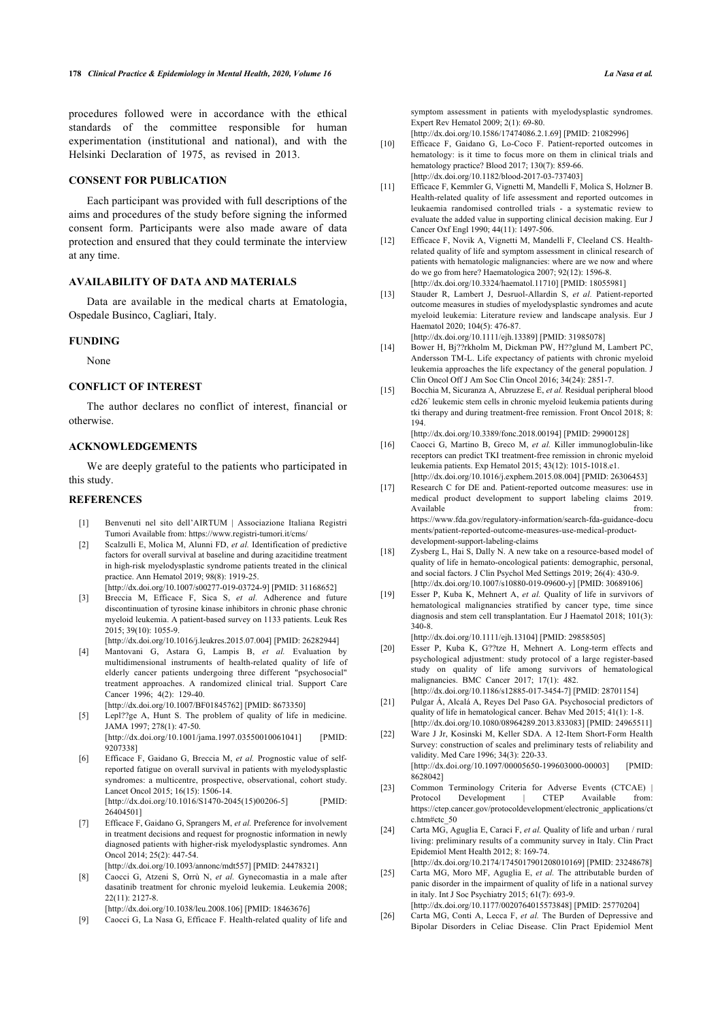<span id="page-4-18"></span>procedures followed were in accordance with the ethical standards of the committee responsible for human experimentation (institutional and national), and with the Helsinki Declaration of 1975, as revised in 2013.

# **CONSENT FOR PUBLICATION**

Each participant was provided with full descriptions of the aims and procedures of the study before signing the informed consent form. Participants were also made aware of data protection and ensured that they could terminate the interview at any time.

# **AVAILABILITY OF DATA AND MATERIALS**

<span id="page-4-8"></span>Data are available in the medical charts at Ematologia, Ospedale Businco, Cagliari, Italy.

#### <span id="page-4-9"></span>**FUNDING**

None

# <span id="page-4-10"></span>**CONFLICT OF INTEREST**

The author declares no conflict of interest, financial or otherwise.

# <span id="page-4-11"></span>**ACKNOWLEDGEMENTS**

We are deeply grateful to the patients who participated in this study.

#### <span id="page-4-12"></span><span id="page-4-0"></span>**REFERENCES**

- [1] Benvenuti nel sito dell'AIRTUM | Associazione Italiana Registri Tumori Available from: <https://www.registri-tumori.it/cms/>
- <span id="page-4-1"></span>[2] Scalzulli E, Molica M, Alunni FD, *et al.* Identification of predictive factors for overall survival at baseline and during azacitidine treatment in high-risk myelodysplastic syndrome patients treated in the clinical practice. Ann Hematol 2019; 98(8): 1919-25. [\[http://dx.doi.org/10.1007/s00277-019-03724-9\]](http://dx.doi.org/10.1007/s00277-019-03724-9) [PMID: [31168652](http://www.ncbi.nlm.nih.gov/pubmed/31168652)]
- [3] Breccia M, Efficace F, Sica S, *et al.* Adherence and future discontinuation of tyrosine kinase inhibitors in chronic phase chronic myeloid leukemia. A patient-based survey on 1133 patients. Leuk Res 2015; 39(10): 1055-9.

[\[http://dx.doi.org/10.1016/j.leukres.2015.07.004\]](http://dx.doi.org/10.1016/j.leukres.2015.07.004) [PMID: [26282944](http://www.ncbi.nlm.nih.gov/pubmed/26282944)]

- <span id="page-4-2"></span>[4] Mantovani G, Astara G, Lampis B, *et al.* Evaluation by multidimensional instruments of health-related quality of life of elderly cancer patients undergoing three different "psychosocial" treatment approaches. A randomized clinical trial. Support Care Cancer 1996; 4(2): 129-40. [\[http://dx.doi.org/10.1007/BF01845762\]](http://dx.doi.org/10.1007/BF01845762) [PMID: [8673350\]](http://www.ncbi.nlm.nih.gov/pubmed/8673350)
- <span id="page-4-14"></span><span id="page-4-13"></span><span id="page-4-3"></span>[5] Lepl??ge A, Hunt S. The problem of quality of life in medicine. JAMA 1997; 278(1): 47-50. [\[http://dx.doi.org/10.1001/jama.1997.03550010061041](http://dx.doi.org/10.1001/jama.1997.03550010061041)] [PMID: [9207338](http://www.ncbi.nlm.nih.gov/pubmed/9207338)]
- <span id="page-4-15"></span><span id="page-4-4"></span>[6] Efficace F, Gaidano G, Breccia M, *et al.* Prognostic value of selfreported fatigue on overall survival in patients with myelodysplastic syndromes: a multicentre, prospective, observational, cohort study. Lancet Oncol 2015; 16(15): 1506-14. [\[http://dx.doi.org/10.1016/S1470-2045\(15\)00206-5](http://dx.doi.org/10.1016/S1470-2045(15)00206-5)] [PMID: [26404501\]](http://www.ncbi.nlm.nih.gov/pubmed/26404501)
- <span id="page-4-16"></span><span id="page-4-5"></span>[7] Efficace F, Gaidano G, Sprangers M, *et al.* Preference for involvement in treatment decisions and request for prognostic information in newly diagnosed patients with higher-risk myelodysplastic syndromes. Ann Oncol 2014; 25(2): 447-54.

[\[http://dx.doi.org/10.1093/annonc/mdt557\]](http://dx.doi.org/10.1093/annonc/mdt557) [PMID: [24478321](http://www.ncbi.nlm.nih.gov/pubmed/24478321)]

<span id="page-4-17"></span><span id="page-4-6"></span>[8] Caocci G, Atzeni S, Orrù N, *et al.* Gynecomastia in a male after dasatinib treatment for chronic myeloid leukemia. Leukemia 2008; 22(11): 2127-8.

[\[http://dx.doi.org/10.1038/leu.2008.106\]](http://dx.doi.org/10.1038/leu.2008.106) [PMID: [18463676](http://www.ncbi.nlm.nih.gov/pubmed/18463676)]

<span id="page-4-19"></span><span id="page-4-7"></span>[9] Caocci G, La Nasa G, Efficace F. Health-related quality of life and

symptom assessment in patients with myelodysplastic syndromes. Expert Rev Hematol 2009; 2(1): 69-80.

[\[http://dx.doi.org/10.1586/17474086.2.1.69\]](http://dx.doi.org/10.1586/17474086.2.1.69) [PMID: [21082996](http://www.ncbi.nlm.nih.gov/pubmed/21082996)]

- [10] Efficace F, Gaidano G, Lo-Coco F. Patient-reported outcomes in hematology: is it time to focus more on them in clinical trials and hematology practice? Blood 2017; 130(7): 859-66. [\[http://dx.doi.org/10.1182/blood-2017-03-737403](http://dx.doi.org/10.1182/blood-2017-03-737403)]
- [11] Efficace F, Kemmler G, Vignetti M, Mandelli F, Molica S, Holzner B. Health-related quality of life assessment and reported outcomes in leukaemia randomised controlled trials - a systematic review to evaluate the added value in supporting clinical decision making. Eur J Cancer Oxf Engl 1990; 44(11): 1497-506.
- [12] Efficace F, Novik A, Vignetti M, Mandelli F, Cleeland CS. Healthrelated quality of life and symptom assessment in clinical research of patients with hematologic malignancies: where are we now and where do we go from here? Haematologica 2007; 92(12): 1596-8. [\[http://dx.doi.org/10.3324/haematol.11710](http://dx.doi.org/10.3324/haematol.11710)] [PMID: [18055981\]](http://www.ncbi.nlm.nih.gov/pubmed/18055981)
- [13] Stauder R, Lambert J, Desruol-Allardin S, *et al.* Patient-reported outcome measures in studies of myelodysplastic syndromes and acute myeloid leukemia: Literature review and landscape analysis. Eur J Haematol 2020; 104(5): 476-87. [\[http://dx.doi.org/10.1111/ejh.13389](http://dx.doi.org/10.1111/ejh.13389)] [PMID: [31985078\]](http://www.ncbi.nlm.nih.gov/pubmed/31985078)
- [14] Bower H, Bj??rkholm M, Dickman PW, H??glund M, Lambert PC, Andersson TM-L. Life expectancy of patients with chronic myeloid leukemia approaches the life expectancy of the general population. J Clin Oncol Off J Am Soc Clin Oncol 2016; 34(24): 2851-7.
- [15] Bocchia M, Sicuranza A, Abruzzese E, *et al.* Residual peripheral blood cd26<sup>+</sup> leukemic stem cells in chronic myeloid leukemia patients during tki therapy and during treatment-free remission. Front Oncol 2018; 8: 194.

[\[http://dx.doi.org/10.3389/fonc.2018.00194\]](http://dx.doi.org/10.3389/fonc.2018.00194) [PMID: [29900128\]](http://www.ncbi.nlm.nih.gov/pubmed/29900128)

- [16] Caocci G, Martino B, Greco M, *et al.* Killer immunoglobulin-like receptors can predict TKI treatment-free remission in chronic myeloid leukemia patients. Exp Hematol 2015; 43(12): 1015-1018.e1. [\[http://dx.doi.org/10.1016/j.exphem.2015.08.004](http://dx.doi.org/10.1016/j.exphem.2015.08.004)] [PMID: [26306453\]](http://www.ncbi.nlm.nih.gov/pubmed/26306453)
- [17] Research C for DE and. Patient-reported outcome measures: use in medical product development to support labeling claims 2019. Available from:  $\mathbf{f}_{\text{row}}$ [https://www.fda.gov/regulatory-information/search-fda-guidance-docu](https://www.fda.gov/regulatory-information/search-fda-guidance-documents/patient-reported-outcome-measures-use-medical-product-development-support-labeling-claims) [ments/patient-reported-outcome-measures-use-medical-product](https://www.fda.gov/regulatory-information/search-fda-guidance-documents/patient-reported-outcome-measures-use-medical-product-development-support-labeling-claims)[development-support-labeling-claims](https://www.fda.gov/regulatory-information/search-fda-guidance-documents/patient-reported-outcome-measures-use-medical-product-development-support-labeling-claims)
- [18] Zysberg L, Hai S, Dally N. A new take on a resource-based model of quality of life in hemato-oncological patients: demographic, personal, and social factors. J Clin Psychol Med Settings 2019; 26(4): 430-9. [\[http://dx.doi.org/10.1007/s10880-019-09600-y](http://dx.doi.org/10.1007/s10880-019-09600-y)] [PMID: [30689106\]](http://www.ncbi.nlm.nih.gov/pubmed/30689106)
- [19] Esser P, Kuba K, Mehnert A, *et al.* Quality of life in survivors of hematological malignancies stratified by cancer type, time since diagnosis and stem cell transplantation. Eur J Haematol 2018; 101(3): 340-8.

[\[http://dx.doi.org/10.1111/ejh.13104](http://dx.doi.org/10.1111/ejh.13104)] [PMID: [29858505\]](http://www.ncbi.nlm.nih.gov/pubmed/29858505)

- [20] Esser P, Kuba K, G??tze H, Mehnert A. Long-term effects and psychological adjustment: study protocol of a large register-based study on quality of life among survivors of hematological malignancies. BMC Cancer 2017; 17(1): 482.
- [\[http://dx.doi.org/10.1186/s12885-017-3454-7\]](http://dx.doi.org/10.1186/s12885-017-3454-7) [PMID: [28701154](http://www.ncbi.nlm.nih.gov/pubmed/28701154)] [21] Pulgar Á, Alcalá A, Reyes Del Paso GA. Psychosocial predictors of
- quality of life in hematological cancer. Behav Med 2015: 41(1): 1-8. [\[http://dx.doi.org/10.1080/08964289.2013.833083\]](http://dx.doi.org/10.1080/08964289.2013.833083) [PMID: [24965511\]](http://www.ncbi.nlm.nih.gov/pubmed/24965511)
- [22] Ware J Jr, Kosinski M, Keller SDA. A 12-Item Short-Form Health Survey: construction of scales and preliminary tests of reliability and validity. Med Care 1996; 34(3): 220-33.

[\[http://dx.doi.org/10.1097/00005650-199603000-00003](http://dx.doi.org/10.1097/00005650-199603000-00003)] [PMID: [8628042](http://www.ncbi.nlm.nih.gov/pubmed/8628042)]

- [23] Common Terminology Criteria for Adverse Events (CTCAE) | Protocol Development | CTEP Available from: [https://ctep.cancer.gov/protocoldevelopment/electronic\\_applications/ct](https://ctep.cancer.gov/protocoldevelopment/electronic_applications/ctc.htm#ctc_50) [c.htm#ctc\\_50](https://ctep.cancer.gov/protocoldevelopment/electronic_applications/ctc.htm#ctc_50)
- [24] Carta MG, Aguglia E, Caraci F, *et al.* Quality of life and urban / rural living: preliminary results of a community survey in Italy. Clin Pract Epidemiol Ment Health 2012; 8: 169-74.

[\[http://dx.doi.org/10.2174/1745017901208010169\]](http://dx.doi.org/10.2174/1745017901208010169) [PMID: [23248678\]](http://www.ncbi.nlm.nih.gov/pubmed/23248678) [25] Carta MG, Moro MF, Aguglia E, *et al.* The attributable burden of

panic disorder in the impairment of quality of life in a national survey in italy. Int J Soc Psychiatry 2015; 61(7): 693-9. [\[http://dx.doi.org/10.1177/0020764015573848](http://dx.doi.org/10.1177/0020764015573848)] [PMID: [25770204](http://www.ncbi.nlm.nih.gov/pubmed/25770204)]

[26] Carta MG, Conti A, Lecca F, *et al.* The Burden of Depressive and Bipolar Disorders in Celiac Disease. Clin Pract Epidemiol Ment